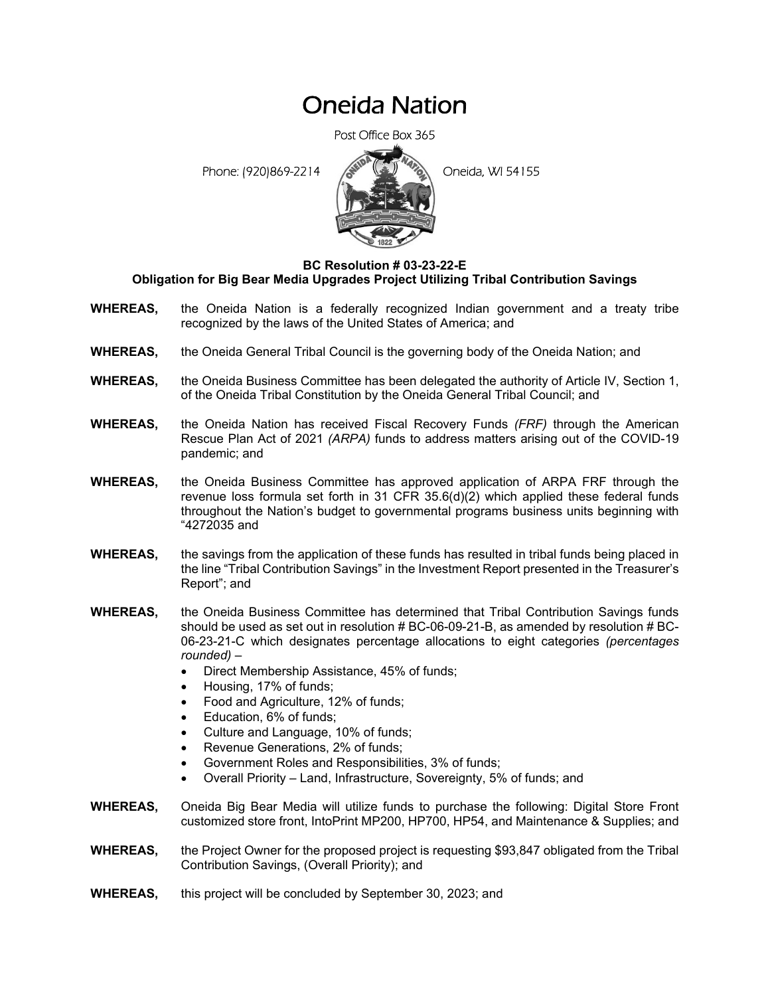## Oneida Nation

Post Office Box 365

Phone: (920)869-2214 **Contract Contract Contract Contract Contract Contract Contract Contract Contract Contract Contract Contract Contract Contract Contract Contract Contract Contract Contract Contract Contract Contract Co** 



## **BC Resolution # 03-23-22-E Obligation for Big Bear Media Upgrades Project Utilizing Tribal Contribution Savings**

- **WHEREAS,** the Oneida Nation is a federally recognized Indian government and a treaty tribe recognized by the laws of the United States of America; and
- **WHEREAS,** the Oneida General Tribal Council is the governing body of the Oneida Nation; and
- **WHEREAS,** the Oneida Business Committee has been delegated the authority of Article IV, Section 1, of the Oneida Tribal Constitution by the Oneida General Tribal Council; and
- **WHEREAS,** the Oneida Nation has received Fiscal Recovery Funds *(FRF)* through the American Rescue Plan Act of 2021 *(ARPA)* funds to address matters arising out of the COVID-19 pandemic; and
- **WHEREAS,** the Oneida Business Committee has approved application of ARPA FRF through the revenue loss formula set forth in 31 CFR 35.6(d)(2) which applied these federal funds throughout the Nation's budget to governmental programs business units beginning with "4272035 and
- **WHEREAS,** the savings from the application of these funds has resulted in tribal funds being placed in the line "Tribal Contribution Savings" in the Investment Report presented in the Treasurer's Report"; and
- **WHEREAS,** the Oneida Business Committee has determined that Tribal Contribution Savings funds should be used as set out in resolution # BC-06-09-21-B, as amended by resolution # BC-06-23-21-C which designates percentage allocations to eight categories *(percentages rounded)* –
	- Direct Membership Assistance, 45% of funds;
	- Housing, 17% of funds;
	- Food and Agriculture, 12% of funds;
	- Education, 6% of funds;
	- Culture and Language, 10% of funds;
	- Revenue Generations, 2% of funds;
	- Government Roles and Responsibilities, 3% of funds;
	- Overall Priority Land, Infrastructure, Sovereignty, 5% of funds; and
- **WHEREAS,** Oneida Big Bear Media will utilize funds to purchase the following: Digital Store Front customized store front, IntoPrint MP200, HP700, HP54, and Maintenance & Supplies; and
- **WHEREAS,** the Project Owner for the proposed project is requesting \$93,847 obligated from the Tribal Contribution Savings, (Overall Priority); and
- **WHEREAS,** this project will be concluded by September 30, 2023; and